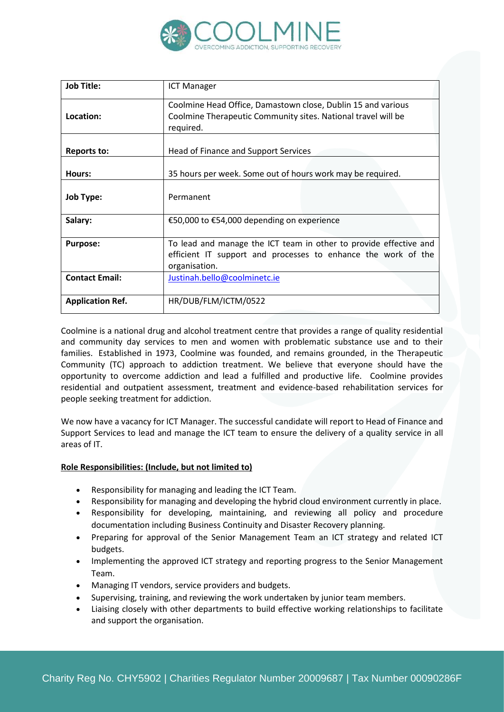

| <b>Job Title:</b>       | <b>ICT Manager</b>                                                                                                                                  |
|-------------------------|-----------------------------------------------------------------------------------------------------------------------------------------------------|
| Location:               | Coolmine Head Office, Damastown close, Dublin 15 and various<br>Coolmine Therapeutic Community sites. National travel will be<br>required.          |
| <b>Reports to:</b>      | Head of Finance and Support Services                                                                                                                |
| Hours:                  | 35 hours per week. Some out of hours work may be required.                                                                                          |
| <b>Job Type:</b>        | Permanent                                                                                                                                           |
| Salary:                 | €50,000 to €54,000 depending on experience                                                                                                          |
| <b>Purpose:</b>         | To lead and manage the ICT team in other to provide effective and<br>efficient IT support and processes to enhance the work of the<br>organisation. |
| <b>Contact Email:</b>   | Justinah.bello@coolminetc.ie                                                                                                                        |
| <b>Application Ref.</b> | HR/DUB/FLM/ICTM/0522                                                                                                                                |

Coolmine is a national drug and alcohol treatment centre that provides a range of quality residential and community day services to men and women with problematic substance use and to their families. Established in 1973, Coolmine was founded, and remains grounded, in the Therapeutic Community (TC) approach to addiction treatment. We believe that everyone should have the opportunity to overcome addiction and lead a fulfilled and productive life. Coolmine provides residential and outpatient assessment, treatment and evidence-based rehabilitation services for people seeking treatment for addiction.

We now have a vacancy for ICT Manager. The successful candidate will report to Head of Finance and Support Services to lead and manage the ICT team to ensure the delivery of a quality service in all areas of IT.

#### **Role Responsibilities: (Include, but not limited to)**

- Responsibility for managing and leading the ICT Team.
- Responsibility for managing and developing the hybrid cloud environment currently in place.
- Responsibility for developing, maintaining, and reviewing all policy and procedure documentation including Business Continuity and Disaster Recovery planning.
- Preparing for approval of the Senior Management Team an ICT strategy and related ICT budgets.
- Implementing the approved ICT strategy and reporting progress to the Senior Management Team.
- Managing IT vendors, service providers and budgets.
- Supervising, training, and reviewing the work undertaken by junior team members.
- Liaising closely with other departments to build effective working relationships to facilitate and support the organisation.